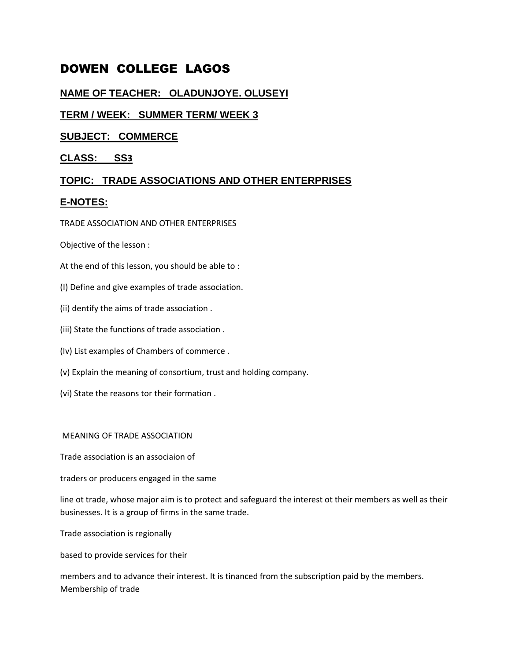# DOWEN COLLEGE LAGOS

# **NAME OF TEACHER: OLADUNJOYE. OLUSEYI**

# **TERM / WEEK: SUMMER TERM/ WEEK 3**

# **SUBJECT: COMMERCE**

# **CLASS: SS3**

# **TOPIC: TRADE ASSOCIATIONS AND OTHER ENTERPRISES**

# **E-NOTES:**

## TRADE ASSOCIATION AND OTHER ENTERPRISES

Objective of the lesson :

- At the end of this lesson, you should be able to :
- (I) Define and give examples of trade association.
- (ii) dentify the aims of trade association .
- (iii) State the functions of trade association .
- (Iv) List examples of Chambers of commerce .
- (v) Explain the meaning of consortium, trust and holding company.
- (vi) State the reasons tor their formation .

### MEANING OF TRADE ASSOCIATION

Trade association is an associaion of

traders or producers engaged in the same

line ot trade, whose major aim is to protect and safeguard the interest ot their members as well as their businesses. It is a group of firms in the same trade.

Trade association is regionally

based to provide services for their

members and to advance their interest. It is tinanced from the subscription paid by the members. Membership of trade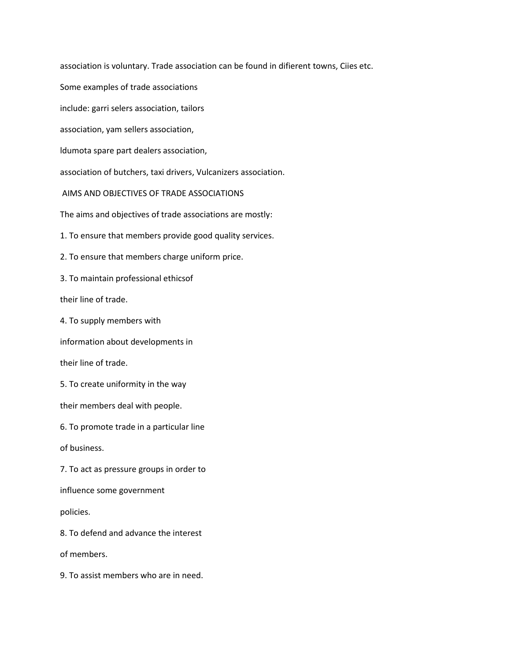association is voluntary. Trade association can be found in difierent towns, Ciies etc. Some examples of trade associations include: garri selers association, tailors association, yam sellers association, ldumota spare part dealers association, association of butchers, taxi drivers, Vulcanizers association. AIMS AND OBJECTIVES OF TRADE ASSOCIATIONS The aims and objectives of trade associations are mostly: 1. To ensure that members provide good quality services. 2. To ensure that members charge uniform price. 3. To maintain professional ethicsof their line of trade. 4. To supply members with information about developments in their line of trade. 5. To create uniformity in the way their members deal with people. 6. To promote trade in a particular line of business. 7. To act as pressure groups in order to influence some government policies. 8. To defend and advance the interest of members.

9. To assist members who are in need.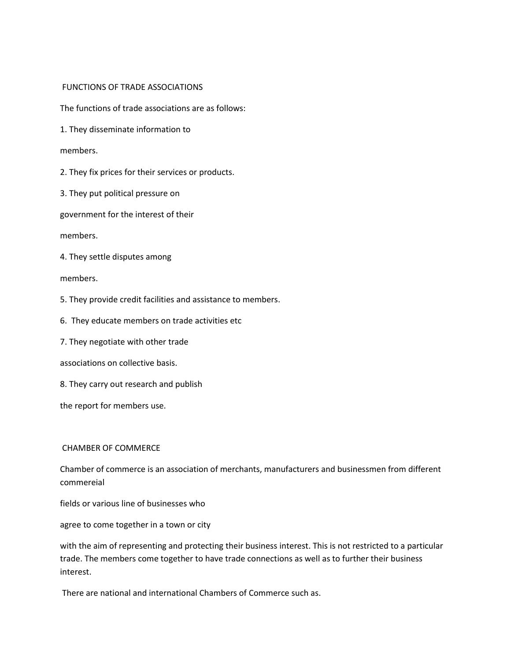### FUNCTIONS OF TRADE ASSOCIATIONS

The functions of trade associations are as follows:

1. They disseminate information to

#### members.

2. They fix prices for their services or products.

3. They put political pressure on

government for the interest of their

members.

4. They settle disputes among

members.

5. They provide credit facilities and assistance to members.

6. They educate members on trade activities etc

7. They negotiate with other trade

associations on collective basis.

8. They carry out research and publish

the report for members use.

#### CHAMBER OF COMMERCE

Chamber of commerce is an association of merchants, manufacturers and businessmen from different commereial

fields or various line of businesses who

agree to come together in a town or city

with the aim of representing and protecting their business interest. This is not restricted to a particular trade. The members come together to have trade connections as well as to further their business interest.

There are national and international Chambers of Commerce such as.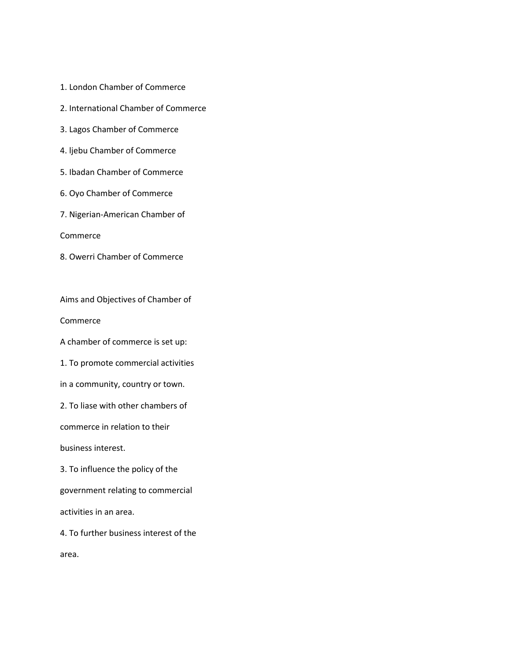- 1. London Chamber of Commerce
- 2. International Chamber of Commerce
- 3. Lagos Chamber of Commerce
- 4. ljebu Chamber of Commerce
- 5. Ibadan Chamber of Commerce
- 6. Oyo Chamber of Commerce
- 7. Nigerian-American Chamber of

Commerce

8. Owerri Chamber of Commerce

Aims and Objectives of Chamber of

Commerce

A chamber of commerce is set up:

1. To promote commercial activities

in a community, country or town.

2. To liase with other chambers of

commerce in relation to their

business interest.

3. To influence the policy of the

government relating to commercial

activities in an area.

4. To further business interest of the

area.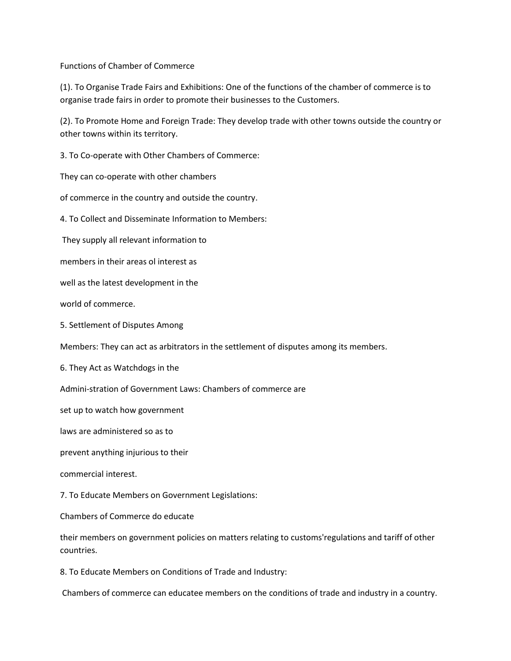Functions of Chamber of Commerce

(1). To Organise Trade Fairs and Exhibitions: One of the functions of the chamber of commerce is to organise trade fairs in order to promote their businesses to the Customers.

(2). To Promote Home and Foreign Trade: They develop trade with other towns outside the country or other towns within its territory.

3. To Co-operate with Other Chambers of Commerce:

They can co-operate with other chambers

of commerce in the country and outside the country.

4. To Collect and Disseminate Information to Members:

They supply all relevant information to

members in their areas ol interest as

well as the latest development in the

world of commerce.

5. Settlement of Disputes Among

Members: They can act as arbitrators in the settlement of disputes among its members.

6. They Act as Watchdogs in the

Admini-stration of Government Laws: Chambers of commerce are

set up to watch how government

laws are administered so as to

prevent anything injurious to their

commercial interest.

7. To Educate Members on Government Legislations:

Chambers of Commerce do educate

their members on government policies on matters relating to customs'regulations and tariff of other countries.

8. To Educate Members on Conditions of Trade and Industry:

Chambers of commerce can educatee members on the conditions of trade and industry in a country.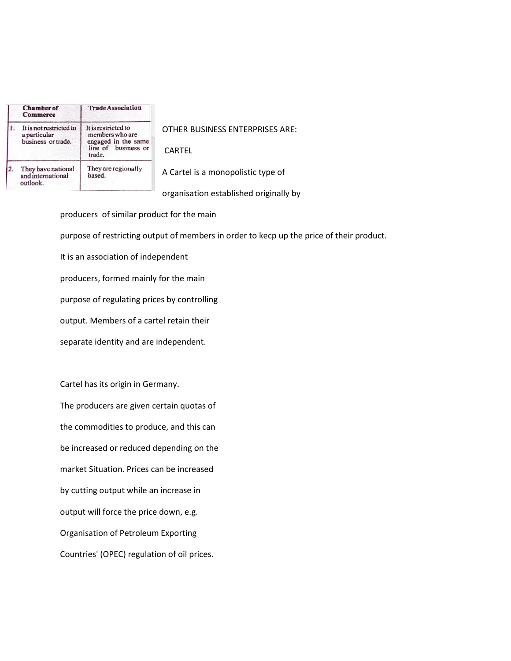|    | <b>Chamber</b> of<br><b>Commerce</b>                          | <b>Trade Association</b>                                                                       |
|----|---------------------------------------------------------------|------------------------------------------------------------------------------------------------|
|    | It is not restricted to<br>a particular<br>business or trade. | It is restricted to<br>members who are<br>engaged in the same<br>line of business or<br>trade. |
| 2. | They have national<br>and international<br>outlook.           | They are regionally<br>based.                                                                  |
|    |                                                               |                                                                                                |

OTHER BUSINESS ENTERPRISES ARE:

CARTEL

A Cartel is a monopolistic type of

organisation established originally by

producers of similar product for the main purpose of restricting output of members in order to kecp up the price of their product. It is an association of independent producers, formed mainly for the main purpose of regulating prices by controlling output. Members of a cartel retain their separate identity and are independent.

Cartel has its origin in Germany. The producers are given certain quotas of the commodities to produce, and this can be increased or reduced depending on the market Situation. Prices can be increased by cutting output while an increase in output will force the price down, e.g. Organisation of Petroleum Exporting Countries' (OPEC) regulation of oil prices.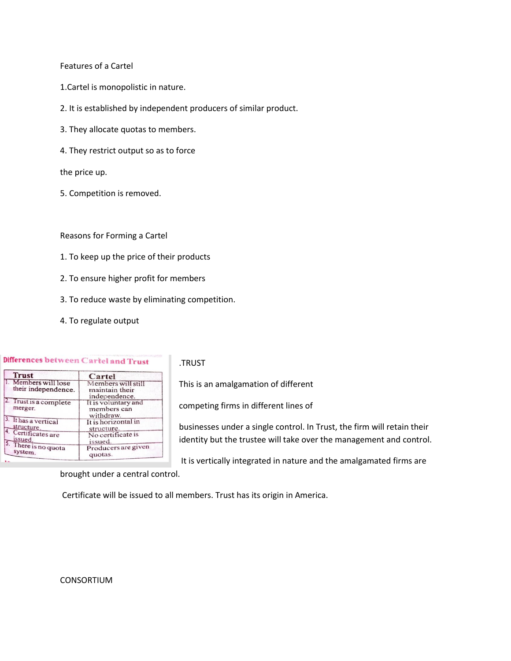#### Features of a Cartel

- 1.Cartel is monopolistic in nature.
- 2. It is established by independent producers of similar product.
- 3. They allocate quotas to members.
- 4. They restrict output so as to force

the price up.

5. Competition is removed.

Reasons for Forming a Cartel

- 1. To keep up the price of their products
- 2. To ensure higher profit for members
- 3. To reduce waste by eliminating competition.
- 4. To regulate output

#### Differences between Cartel and Trust

| <b>Trust</b>                                | Cartel                                                |
|---------------------------------------------|-------------------------------------------------------|
| 1. Members will lose<br>their independence. | Members will still<br>maintain their<br>independence. |
| 2. Trust is a complete<br>merger.           | It is voluntary and<br>members can<br>withdraw.       |
| 3. It has a vertical                        | It is horizontal in                                   |
| structure.                                  | structure.                                            |
| 4. Certificates are                         | No certificate is                                     |
| issued.                                     | issued.                                               |
| 5. There is no quota                        | Producers are given                                   |
| system.                                     | quotas.                                               |

.TRUST

This is an amalgamation of different

competing firms in different lines of

businesses under a single control. In Trust, the firm will retain their identity but the trustee will take over the management and control.

It is vertically integrated in nature and the amalgamated firms are

brought under a central control.

Certificate will be issued to all members. Trust has its origin in America.

#### CONSORTIUM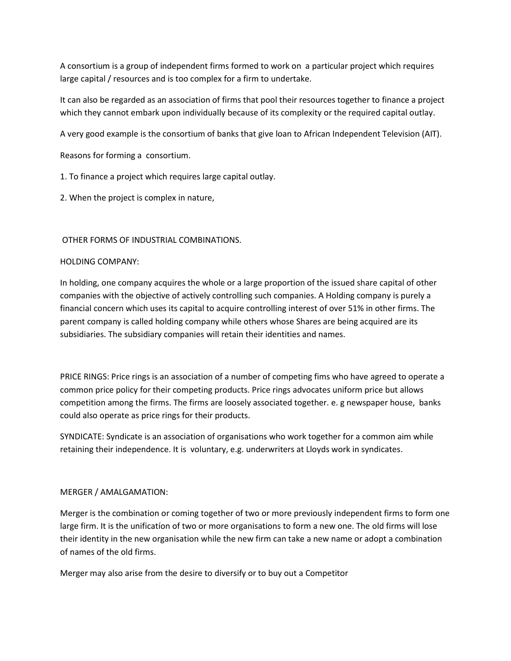A consortium is a group of independent firms formed to work on a particular project which requires large capital / resources and is too complex for a firm to undertake.

It can also be regarded as an association of firms that pool their resources together to finance a project which they cannot embark upon individually because of its complexity or the required capital outlay.

A very good example is the consortium of banks that give loan to African Independent Television (AIT).

Reasons for forming a consortium.

1. To finance a project which requires large capital outlay.

2. When the project is complex in nature,

### OTHER FORMS OF INDUSTRIAL COMBINATIONS.

### HOLDING COMPANY:

In holding, one company acquires the whole or a large proportion of the issued share capital of other companies with the objective of actively controlling such companies. A Holding company is purely a financial concern which uses its capital to acquire controlling interest of over 51% in other firms. The parent company is called holding company while others whose Shares are being acquired are its subsidiaries. The subsidiary companies will retain their identities and names.

PRICE RINGS: Price rings is an association of a number of competing fims who have agreed to operate a common price policy for their competing products. Price rings advocates uniform price but allows competition among the firms. The firms are loosely associated together. e. g newspaper house, banks could also operate as price rings for their products.

SYNDICATE: Syndicate is an association of organisations who work together for a common aim while retaining their independence. It is voluntary, e.g. underwriters at Lloyds work in syndicates.

### MERGER / AMALGAMATION:

Merger is the combination or coming together of two or more previously independent firms to form one large firm. It is the unificatíon of two or more organisations to form a new one. The old firms will lose their identity in the new organisation while the new firm can take a new name or adopt a combination of names of the old firms.

Merger may also arise from the desire to diversify or to buy out a Competitor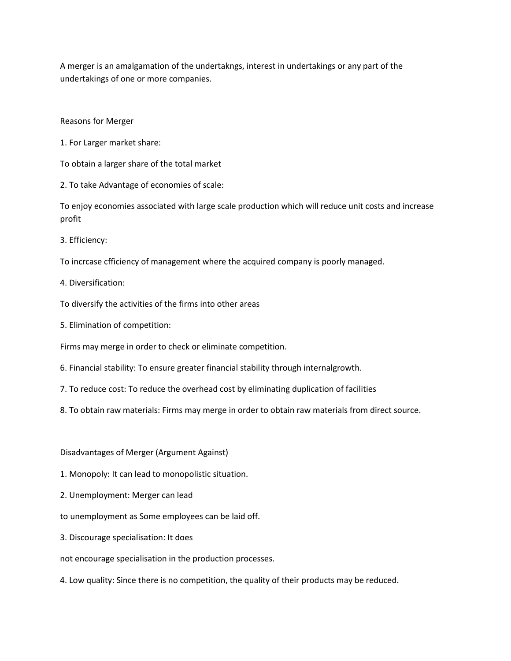A merger is an amalgamation of the undertakngs, interest in undertakings or any part of the undertakings of one or more companies.

Reasons for Merger

1. For Larger market share:

To obtain a larger share of the total market

2. To take Advantage of economies of scale:

To enjoy economies associated with large scale production which will reduce unit costs and increase profit

3. Efficiency:

To incrcase cfficiency of management where the acquired company is poorly managed.

4. Diversification:

To diversify the activities of the firms into other areas

5. Elimination of competition:

Firms may merge in order to check or eliminate competition.

- 6. Financial stability: To ensure greater financial stability through internalgrowth.
- 7. To reduce cost: To reduce the overhead cost by eliminating duplication of facilities

8. To obtain raw materials: Firms may merge in order to obtain raw materials from direct source.

Disadvantages of Merger (Argument Against)

- 1. Monopoly: It can lead to monopolistic situation.
- 2. Unemployment: Merger can lead
- to unemployment as Some employees can be laid off.
- 3. Discourage specialisation: It does

not encourage specialisation in the production processes.

4. Low quality: Since there is no competition, the quality of their products may be reduced.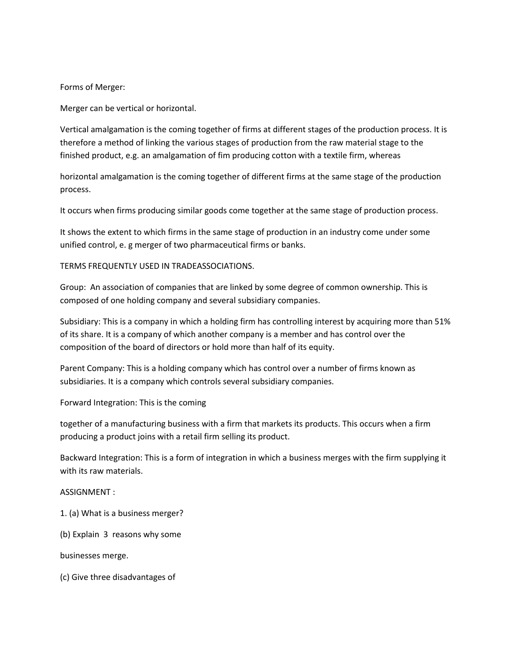Forms of Merger:

Merger can be vertical or horizontal.

Vertical amalgamation is the coming together of firms at different stages of the production process. It is therefore a method of linking the various stages of production from the raw material stage to the finished product, e.g. an amalgamation of fim producing cotton with a textile firm, whereas

horizontal amalgamation is the coming together of different firms at the same stage of the production process.

It occurs when firms producing similar goods come together at the same stage of production process.

It shows the extent to which firms in the same stage of production in an industry come under some unified control, e. g merger of two pharmaceutical firms or banks.

TERMS FREQUENTLY USED IN TRADEASSOCIATIONS.

Group: An association of companies that are linked by some degree of common ownership. This is composed of one holding company and several subsidiary companies.

Subsidiary: This is a company in which a holding firm has controlling interest by acquiring more than 51% of its share. It is a company of which another company is a member and has control over the composition of the board of directors or hold more than half of its equity.

Parent Company: This is a holding company which has control over a number of firms known as subsidiaries. It is a company which controls several subsidiary companies.

Forward Integration: This is the coming

together of a manufacturing business with a firm that markets its products. This occurs when a firm producing a product joins with a retail firm selling its product.

Backward Integration: This is a form of integration in which a business merges with the firm supplying it with its raw materials.

ASSIGNMENT :

1. (a) What is a business merger?

(b) Explain 3 reasons why some

businesses merge.

(c) Give three disadvantages of